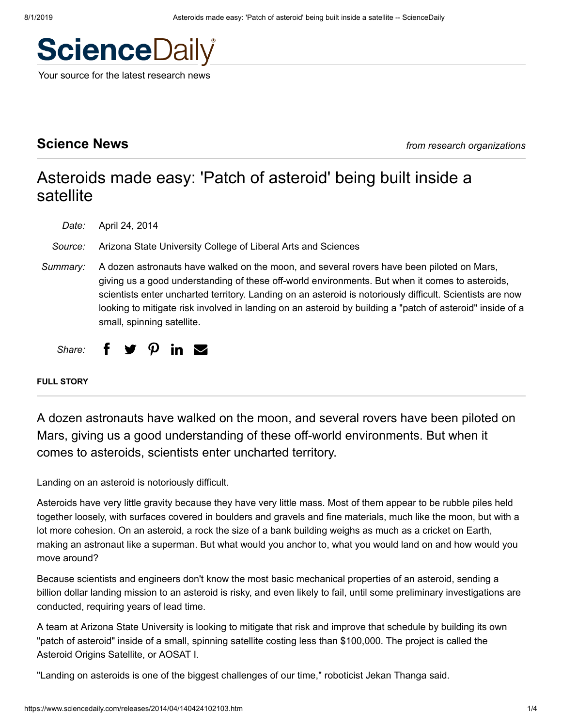# **Science**Daily

Your source for the latest research news

# **Science News** *from research organizations*

# Asteroids made easy: 'Patch of asteroid' being built inside a satellite

*Date:* April 24, 2014

- *Source:* Arizona State University College of Liberal Arts and Sciences
- *Summary:* A dozen astronauts have walked on the moon, and several rovers have been piloted on Mars, giving us a good understanding of these off-world environments. But when it comes to asteroids, scientists enter uncharted territory. Landing on an asteroid is notoriously difficult. Scientists are now looking to mitigate risk involved in landing on an asteroid by building a "patch of asteroid" inside of a small, spinning satellite.

*Share:*  $\vee$   $\Omega$  in  $\heartsuit$ 

**FULL STORY**

A dozen astronauts have walked on the moon, and several rovers have been piloted on Mars, giving us a good understanding of these off-world environments. But when it comes to asteroids, scientists enter uncharted territory.

Landing on an asteroid is notoriously difficult.

Asteroids have very little gravity because they have very little mass. Most of them appear to be rubble piles held together loosely, with surfaces covered in boulders and gravels and fine materials, much like the moon, but with a lot more cohesion. On an asteroid, a rock the size of a bank building weighs as much as a cricket on Earth, making an astronaut like a superman. But what would you anchor to, what you would land on and how would you move around?

Because scientists and engineers don't know the most basic mechanical properties of an asteroid, sending a billion dollar landing mission to an asteroid is risky, and even likely to fail, until some preliminary investigations are conducted, requiring years of lead time.

A team at Arizona State University is looking to mitigate that risk and improve that schedule by building its own "patch of asteroid" inside of a small, spinning satellite costing less than \$100,000. The project is called the Asteroid Origins Satellite, or AOSAT I.

"Landing on asteroids is one of the biggest challenges of our time," roboticist Jekan Thanga said.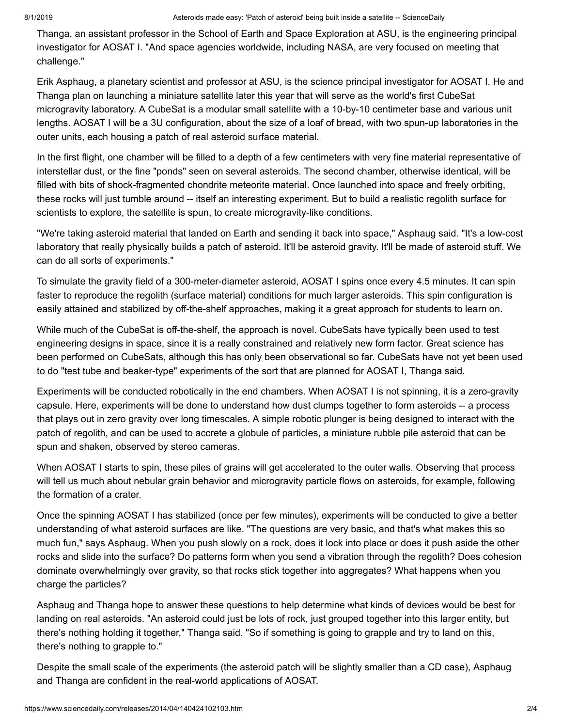Thanga, an assistant professor in the School of Earth and Space Exploration at ASU, is the engineering principal investigator for AOSAT I. "And space agencies worldwide, including NASA, are very focused on meeting that challenge."

Erik Asphaug, a planetary scientist and professor at ASU, is the science principal investigator for AOSAT I. He and Thanga plan on launching a miniature satellite later this year that will serve as the world's first CubeSat microgravity laboratory. A CubeSat is a modular small satellite with a 10-by-10 centimeter base and various unit lengths. AOSAT I will be a 3U configuration, about the size of a loaf of bread, with two spun-up laboratories in the outer units, each housing a patch of real asteroid surface material.

In the first flight, one chamber will be filled to a depth of a few centimeters with very fine material representative of interstellar dust, or the fine "ponds" seen on several asteroids. The second chamber, otherwise identical, will be filled with bits of shock-fragmented chondrite meteorite material. Once launched into space and freely orbiting, these rocks will just tumble around -- itself an interesting experiment. But to build a realistic regolith surface for scientists to explore, the satellite is spun, to create microgravity-like conditions.

"We're taking asteroid material that landed on Earth and sending it back into space," Asphaug said. "It's a low-cost laboratory that really physically builds a patch of asteroid. It'll be asteroid gravity. It'll be made of asteroid stuff. We can do all sorts of experiments."

To simulate the gravity field of a 300-meter-diameter asteroid, AOSAT I spins once every 4.5 minutes. It can spin faster to reproduce the regolith (surface material) conditions for much larger asteroids. This spin configuration is easily attained and stabilized by off-the-shelf approaches, making it a great approach for students to learn on.

While much of the CubeSat is off-the-shelf, the approach is novel. CubeSats have typically been used to test engineering designs in space, since it is a really constrained and relatively new form factor. Great science has been performed on CubeSats, although this has only been observational so far. CubeSats have not yet been used to do "test tube and beaker-type" experiments of the sort that are planned for AOSAT I, Thanga said.

Experiments will be conducted robotically in the end chambers. When AOSAT I is not spinning, it is a zero-gravity capsule. Here, experiments will be done to understand how dust clumps together to form asteroids -- a process that plays out in zero gravity over long timescales. A simple robotic plunger is being designed to interact with the patch of regolith, and can be used to accrete a globule of particles, a miniature rubble pile asteroid that can be spun and shaken, observed by stereo cameras.

When AOSAT I starts to spin, these piles of grains will get accelerated to the outer walls. Observing that process will tell us much about nebular grain behavior and microgravity particle flows on asteroids, for example, following the formation of a crater.

Once the spinning AOSAT I has stabilized (once per few minutes), experiments will be conducted to give a better understanding of what asteroid surfaces are like. "The questions are very basic, and that's what makes this so much fun," says Asphaug. When you push slowly on a rock, does it lock into place or does it push aside the other rocks and slide into the surface? Do patterns form when you send a vibration through the regolith? Does cohesion dominate overwhelmingly over gravity, so that rocks stick together into aggregates? What happens when you charge the particles?

Asphaug and Thanga hope to answer these questions to help determine what kinds of devices would be best for landing on real asteroids. "An asteroid could just be lots of rock, just grouped together into this larger entity, but there's nothing holding it together," Thanga said. "So if something is going to grapple and try to land on this, there's nothing to grapple to."

Despite the small scale of the experiments (the asteroid patch will be slightly smaller than a CD case), Asphaug and Thanga are confident in the real-world applications of AOSAT.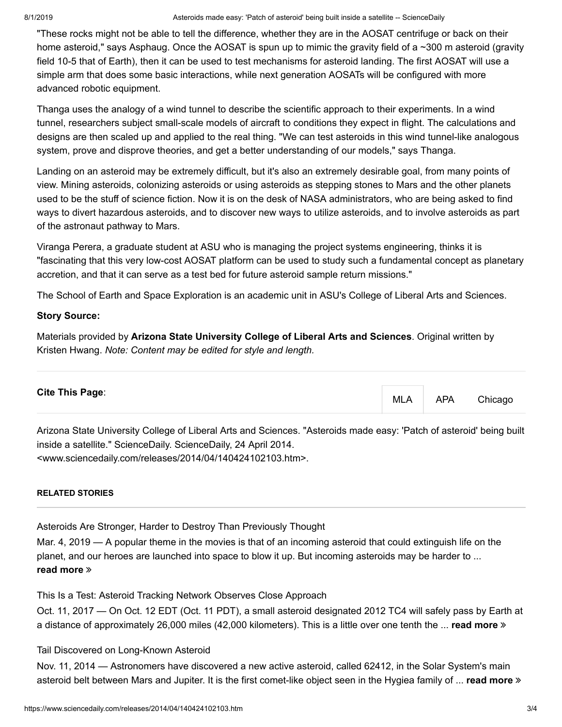"These rocks might not be able to tell the difference, whether they are in the AOSAT centrifuge or back on their home asteroid," says Asphaug. Once the AOSAT is spun up to mimic the gravity field of a ~300 m asteroid (gravity field 10-5 that of Earth), then it can be used to test mechanisms for asteroid landing. The first AOSAT will use a simple arm that does some basic interactions, while next generation AOSATs will be configured with more advanced robotic equipment.

Thanga uses the analogy of a wind tunnel to describe the scientific approach to their experiments. In a wind tunnel, researchers subject small-scale models of aircraft to conditions they expect in flight. The calculations and designs are then scaled up and applied to the real thing. "We can test asteroids in this wind tunnel-like analogous system, prove and disprove theories, and get a better understanding of our models," says Thanga.

Landing on an asteroid may be extremely difficult, but it's also an extremely desirable goal, from many points of view. Mining asteroids, colonizing asteroids or using asteroids as stepping stones to Mars and the other planets used to be the stuff of science fiction. Now it is on the desk of NASA administrators, who are being asked to find ways to divert hazardous asteroids, and to discover new ways to utilize asteroids, and to involve asteroids as part of the astronaut pathway to Mars.

Viranga Perera, a graduate student at ASU who is managing the project systems engineering, thinks it is "fascinating that this very low-cost AOSAT platform can be used to study such a fundamental concept as planetary accretion, and that it can serve as a test bed for future asteroid sample return missions."

The School of Earth and Space Exploration is an academic unit in ASU's College of Liberal Arts and Sciences.

#### **Story Source:**

[Materials](https://asunews.asu.edu/20140422-asteroid-origins-satellite) provided by **[Arizona State University College of Liberal Arts and Sciences](https://www.asu.edu/)**. Original written by Kristen Hwang. *Note: Content may be edited for style and length.*

<span id="page-2-0"></span>Arizona State University College of Liberal Arts and Sciences. "Asteroids made easy: 'Patch of asteroid' being built inside a satellite." ScienceDaily. ScienceDaily, 24 April 2014. <www.sciencedaily.com/releases/2014/04/140424102103.htm>.

#### **RELATED STORIES**

[Asteroids Are Stronger, Harder to Destroy Than Previously Thought](https://www.sciencedaily.com/releases/2019/03/190304095926.htm)

Mar. 4, 2019 — A popular theme in the movies is that of an incoming asteroid that could extinguish life on the planet, and our heroes are launched into space to blow it up. But incoming asteroids may be harder to ... **[read more](https://www.sciencedaily.com/releases/2019/03/190304095926.htm)**

[This Is a Test: Asteroid Tracking Network Observes Close Approach](https://www.sciencedaily.com/releases/2017/10/171011135500.htm)

Oct. 11, 2017 — On Oct. 12 EDT (Oct. 11 PDT), a small asteroid designated 2012 TC4 will safely pass by Earth at a distance of approximately 26,000 miles (42,000 kilometers). This is a little over one tenth the ... **[read more](https://www.sciencedaily.com/releases/2017/10/171011135500.htm)**

#### [Tail Discovered on Long-Known Asteroid](https://www.sciencedaily.com/releases/2014/11/141111111321.htm)

Nov. 11, 2014 — Astronomers have discovered a new active asteroid, called 62412, in the Solar System's main asteroid belt between Mars and Jupiter. It is the first comet-like object seen in the Hygiea family of ... **[read more](https://www.sciencedaily.com/releases/2014/11/141111111321.htm)**